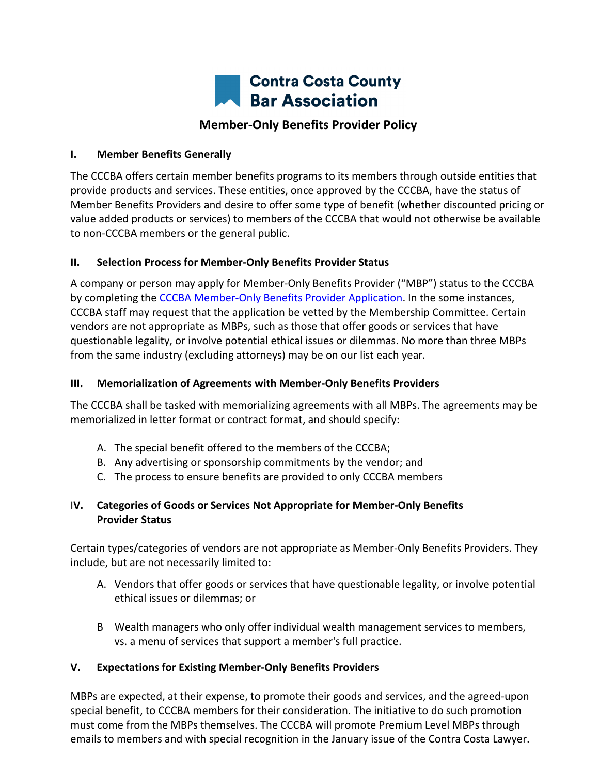

### **I. Member Benefits Generally**

The CCCBA offers certain member benefits programs to its members through outside entities that provide products and services. These entities, once approved by the CCCBA, have the status of Member Benefits Providers and desire to offer some type of benefit (whether discounted pricing or value added products or services) to members of the CCCBA that would not otherwise be available to non-CCCBA members or the general public.

### **II. Selection Process for Member-Only Benefits Provider Status**

A company or person may apply for Member-Only Benefits Provider ("MBP") status to the CCCBA by completing the [CCCBA Member-Only](https://www.cccba.org/member-only-benefits-provider-application-2021-03-new/) Benefits Provider Application. In the some instances, CCCBA staff may request that the application be vetted by the Membership Committee. Certain vendors are not appropriate as MBPs, such as those that offer goods or services that have questionable legality, or involve potential ethical issues or dilemmas. No more than three MBPs from the same industry (excluding attorneys) may be on our list each year.

## **III. Memorialization of Agreements with Member-Only Benefits Providers**

The CCCBA shall be tasked with memorializing agreements with all MBPs. The agreements may be memorialized in letter format or contract format, and should specify:

- A. The special benefit offered to the members of the CCCBA;
- B. Any advertising or sponsorship commitments by the vendor; and
- C. The process to ensure benefits are provided to only CCCBA members

# I**V. Categories of Goods or Services Not Appropriate for Member-Only Benefits Provider Status**

Certain types/categories of vendors are not appropriate as Member-Only Benefits Providers. They include, but are not necessarily limited to:

- A. Vendors that offer goods or services that have questionable legality, or involve potential ethical issues or dilemmas; or
- B Wealth managers who only offer individual wealth management services to members, vs. a menu of services that support a member's full practice.

# **V. Expectations for Existing Member-Only Benefits Providers**

MBPs are expected, at their expense, to promote their goods and services, and the agreed-upon special benefit, to CCCBA members for their consideration. The initiative to do such promotion must come from the MBPs themselves. The CCCBA will promote Premium Level MBPs through emails to members and with special recognition in the January issue of the Contra Costa Lawyer.